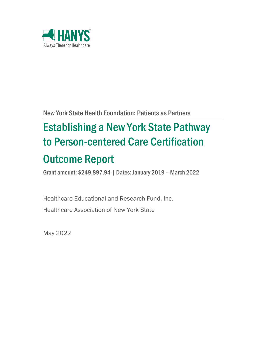

New York State Health Foundation: Patients as Partners

# Establishing a New York State Pathway to Person-centered Care Certification Outcome Report

Grant amount: \$249,897.94 | Dates: January 2019 – March 2022

Healthcare Educational and Research Fund, Inc. Healthcare Association of New York State

May 2022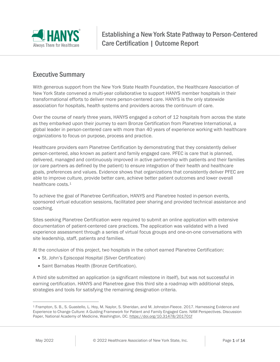

# Executive Summary

With generous support from the New York State Health Foundation, the Healthcare Association of New York State convened a multi-year collaborative to support HANYS member hospitals in their transformational efforts to deliver more person-centered care. HANYS is the only statewide association for hospitals, health systems and providers across the continuum of care.

Over the course of nearly three years, HANYS engaged a cohort of 12 hospitals from across the state as they embarked upon their journey to earn Bronze Certification from Planetree International, a global leader in person-centered care with more than 40 years of experience working with healthcare organizations to focus on purpose, process and practice.

Healthcare providers earn Planetree Certification by demonstrating that they consistently deliver person-centered, also known as patient and family engaged care. PFEC is care that is planned, delivered, managed and continuously improved in active partnership with patients and their families (or care partners as defined by the patient) to ensure integration of their health and healthcare goals, preferences and values. Evidence shows that organizations that consistently deliver PFEC are able to improve culture, provide better care, achieve better patient outcomes and lower overall healthcare costs.[1](#page-1-0)

To achieve the goal of Planetree Certification, HANYS and Planetree hosted in-person events, sponsored virtual education sessions, facilitated peer sharing and provided technical assistance and coaching.

Sites seeking Planetree Certification were required to submit an online application with extensive documentation of patient-centered care practices. The application was validated with a lived experience assessment through a series of virtual focus groups and one-on-one conversations with site leadership, staff, patients and families.

At the conclusion of this project, two hospitals in the cohort earned Planetree Certification:

- St. John's Episcopal Hospital (Silver Certification)
- Saint Barnabas Health (Bronze Certification).

A third site submitted an application (a significant milestone in itself), but was not successful in earning certification. HANYS and Planetree gave this third site a roadmap with additional steps, strategies and tools for satisfying the remaining designation criteria.

 $\overline{a}$ 

<span id="page-1-0"></span><sup>1</sup> Frampton, S. B., S. Guastello, L. Hoy, M. Naylor, S. Sheridan, and M. Johnston-Fleece. 2017. Harnessing Evidence and Experience to Change Culture: A Guiding Framework for Patient and Family Engaged Care. NAM Perspectives. Discussion Paper, National Academy of Medicine, Washington, DC. https://doi.org/10.31478/201701f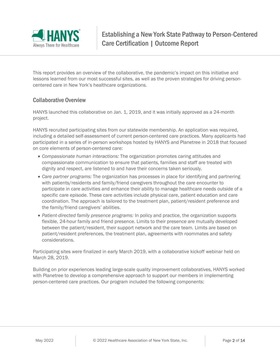

This report provides an overview of the collaborative, the pandemic's impact on this initiative and lessons learned from our most successful sites, as well as the proven strategies for driving personcentered care in New York's healthcare organizations.

## Collaborative Overview

HANYS launched this collaborative on Jan. 1, 2019, and it was initially approved as a 24-month project.

HANYS recruited participating sites from our statewide membership. An application was required, including a detailed self-assessment of current person-centered care practices. Many applicants had participated in a series of in-person workshops hosted by HANYS and Planetree in 2018 that focused on core elements of person-centered care:

- *Compassionate human interactions:* The organization promotes caring attitudes and compassionate communication to ensure that patients, families and staff are treated with dignity and respect, are listened to and have their concerns taken seriously.
- *Care partner programs:* The organization has processes in place for identifying and partnering with patients/residents and family/friend caregivers throughout the care encounter to participate in care activities and enhance their ability to manage healthcare needs outside of a specific care episode. These care activities include physical care, patient education and care coordination. The approach is tailored to the treatment plan, patient/resident preference and the family/friend caregivers' abilities.
- *Patient-directed family presence programs:* In policy and practice, the organization supports flexible, 24-hour family and friend presence. Limits to their presence are mutually developed between the patient/resident, their support network and the care team. Limits are based on patient/resident preferences, the treatment plan, agreements with roommates and safety considerations.

Participating sites were finalized in early March 2019, with a collaborative kickoff webinar held on March 28, 2019.

Building on prior experiences leading large-scale quality improvement collaboratives, HANYS worked with Planetree to develop a comprehensive approach to support our members in implementing person-centered care practices. Our program included the following components: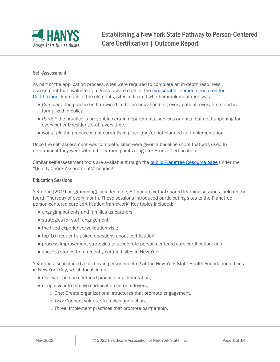

#### Self-Assessment

As part of the application process, sites were required to complete an in-depth readiness assessment that evaluated progress toward each of the [measurable elements required for](https://planetree.org/planetree-certification-criteria/)  [Certification.](https://planetree.org/planetree-certification-criteria/) For each of the elements, sites indicated whether implementation was:

- *Complete:* the practice is hardwired in the organization (i.e., every patient, every time) and is formalized in policy.
- *Partial:* the practice is present in certain departments, services or units, but not happening for every patient/resident/staff every time.
- *Not at all:* the practice is not currently in place and/or not planned for implementation.

Once the self-assessment was complete, sites were given a baseline score that was used to determine if they were within the earned points range for Bronze Certification.

Similar self-assessment tools are available through the [public Planetree Resource page](https://resources.planetree.org/) under the "Quality Check Assessments" heading.

#### Education Sessions

Year one (2019 programming) included nine, 60-minute virtual shared learning sessions, held on the fourth Thursday of every month. These sessions introduced participating sites to the Planetree person-centered care certification framework. Key topics included:

- engaging patients and families as partners;
- strategies for staff engagement;
- the lived experience/validation visit;
- top 10 frequently asked questions about certification;
- process improvement strategies to accelerate person-centered care certification; and
- success stories from recently certified sites in New York.

Year one also included a full-day in-person meeting at the New York State Health Foundation offices in New York City, which focused on:

- review of person-centered practice implementation;
- deep dive into the five certification criteria drivers;
	- o *One:* Create organizational structures that promote engagement,
	- o *Two:* Connect values, strategies and action,
	- o *Three:* Implement practices that promote partnership,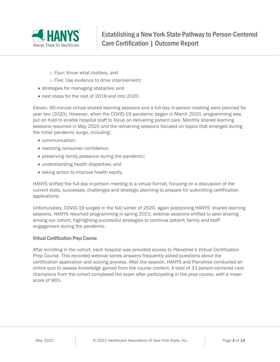

- o *Four:* Know what matters, and
- o *Five:* Use evidence to drive improvement;
- strategies for managing obstacles; and
- next steps for the rest of 2019 and into 2020.

Eleven, 60-minute virtual shared learning sessions and a full-day in-person meeting were planned for year two (2020). However, when the COVID-19 pandemic began in March 2020, programming was put on hold to enable hospital staff to focus on delivering patient care. Monthly shared learning sessions resumed in May 2020 and the remaining sessions focused on topics that emerged during the initial pandemic surge, including:

- communication;
- restoring consumer confidence;
- preserving family presence during the pandemic;
- understanding health disparities; and
- taking action to improve health equity.

HANYS shifted the full-day in-person meeting to a virtual format, focusing on a discussion of the current state, successes, challenges and strategic planning to prepare for submitting certification applications.

Unfortunately, COVID-19 surged in the fall/winter of 2020, again postponing HANYS' shared learning sessions. HANYS resumed programming in spring 2021; webinar sessions shifted to peer sharing among our cohort, highlighting successful strategies to continue patient, family and staff engagement during the pandemic.

#### Virtual Certification Prep Course

After enrolling in the cohort, each hospital was provided access to *Planetree's Virtual Certification Prep Course*. This recorded webinar series answers frequently asked questions about the certification application and scoring process. After the session, HANYS and Planetree conducted an online quiz to assess knowledge gained from the course content. A total of 31 person-centered care champions from the cohort completed the exam after participating in the prep course, with a mean score of 96%.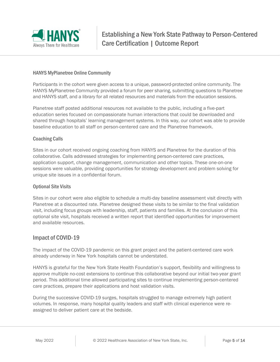

#### HANYS MyPlanetree Online Community

Participants in the cohort were given access to a unique, password-protected online community. The HANYS MyPlanetree Community provided a forum for peer sharing, submitting questions to Planetree and HANYS staff, and a library for all related resources and materials from the education sessions.

Planetree staff posted additional resources not available to the public, including a five-part education series focused on compassionate human interactions that could be downloaded and shared through hospitals' learning management systems. In this way, our cohort was able to provide baseline education to all staff on person-centered care and the Planetree framework.

#### Coaching Calls

Sites in our cohort received ongoing coaching from HANYS and Planetree for the duration of this collaborative. Calls addressed strategies for implementing person-centered care practices, application support, change management, communication and other topics. These one-on-one sessions were valuable, providing opportunities for strategy development and problem solving for unique site issues in a confidential forum.

#### Optional Site Visits

Sites in our cohort were also eligible to schedule a multi-day baseline assessment visit directly with Planetree at a discounted rate. Planetree designed these visits to be similar to the final validation visit, including focus groups with leadership, staff, patients and families. At the conclusion of this optional site visit, hospitals received a written report that identified opportunities for improvement and available resources.

#### Impact of COVID-19

The impact of the COVID-19 pandemic on this grant project and the patient-centered care work already underway in New York hospitals cannot be understated.

HANYS is grateful for the New York State Health Foundation's support, flexibility and willingness to approve multiple no-cost extensions to continue this collaborative beyond our initial two-year grant period. This additional time allowed participating sites to continue implementing person-centered care practices, prepare their applications and host validation visits.

During the successive COVID-19 surges, hospitals struggled to manage extremely high patient volumes. In response, many hospital quality leaders and staff with clinical experience were reassigned to deliver patient care at the bedside.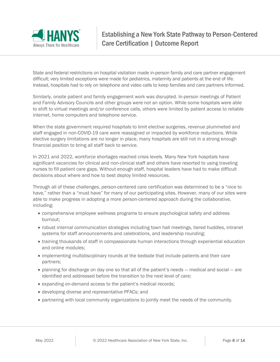

State and federal restrictions on hospital visitation made in-person family and care partner engagement difficult; very limited exceptions were made for pediatrics, maternity and patients at the end of life. Instead, hospitals had to rely on telephone and video calls to keep families and care partners informed.

Similarly, onsite patient and family engagement work was disrupted. In-person meetings of Patient and Family Advisory Councils and other groups were not an option. While some hospitals were able to shift to virtual meetings and/or conference calls, others were limited by patient access to reliable internet, home computers and telephone service.

When the state government required hospitals to limit elective surgeries, revenue plummeted and staff engaged in non-COVID-19 care were reassigned or impacted by workforce reductions. While elective surgery limitations are no longer in place, many hospitals are still not in a strong enough financial position to bring all staff back to service.

In 2021 and 2022, workforce shortages reached crisis levels. Many New York hospitals have significant vacancies for clinical and non-clinical staff and others have resorted to using traveling nurses to fill patient care gaps. Without enough staff, hospital leaders have had to make difficult decisions about where and how to best deploy limited resources.

Through all of these challenges, person-centered care certification was determined to be a "nice to have," rather than a "must have" for many of our participating sites. However, many of our sites were able to make progress in adopting a more person-centered approach during the collaborative, including:

- comprehensive employee wellness programs to ensure psychological safety and address burnout;
- robust internal communication strategies including town hall meetings, tiered huddles, intranet systems for staff announcements and celebrations, and leadership rounding;
- training thousands of staff in compassionate human interactions through experiential education and online modules;
- implementing multidisciplinary rounds at the bedside that include patients and their care partners;
- planning for discharge on day one so that all of the patient's needs medical and social are identified and addressed before the transition to the next level of care;
- expanding on-demand access to the patient's medical records;
- developing diverse and representative PFACs; and
- partnering with local community organizations to jointly meet the needs of the community.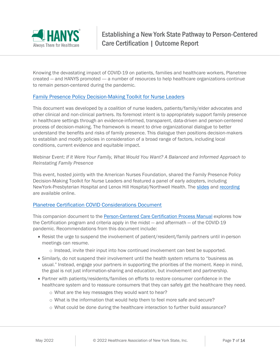

Knowing the devastating impact of COVID-19 on patients, families and healthcare workers, Planetree created — and HANYS promoted —- a number of resources to help healthcare organizations continue to remain person-centered during the pandemic.

#### [Family Presence Policy Decision-Making Toolkit for Nurse Leaders](https://planetree.org/wp-content/uploads/2021/05/Family-Presence-Policy-Decision-Making-Toolkit.pdf)

This document was developed by a coalition of nurse leaders, patients/family/elder advocates and other clinical and non-clinical partners. Its foremost intent is to appropriately support family presence in healthcare settings through an evidence-informed, transparent, data-driven and person-centered process of decision-making. The framework is meant to drive organizational dialogue to better understand the benefits and risks of family presence. This dialogue then positions decision-makers to establish and modify policies in consideration of a broad range of factors, including local conditions, current evidence and equitable impact.

#### Webinar Event: *If It Were Your Family, What Would You Want? A Balanced and Informed Approach to Reinstating Family Presence*

This event, hosted jointly with the American Nurses Foundation, shared the Family Presence Policy Decision-Making Toolkit for Nurse Leaders and featured a panel of early adopters, including NewYork-Presbyterian Hospital and Lenox Hill Hospital/Northwell Health. The [slides](https://resources.planetree.org/wp-content/uploads/2021/06/Family-Presence-Toolkit-Launch-Webinar-Slides.pdf) and [recording](https://players.brightcove.net/1799386132001/YQ3OH4GDH7_default/index.html?videoId=6257412954001) are available online.

#### [Planetree Certification COVID Considerations Document](https://planetree.org/certification-covid-resource/)

This companion document to the [Person-Centered Care Certification Process Manual](https://planetree.org/person-centered-care-certification-program-manual/) explores how the Certification program and criteria apply in the midst — and aftermath — of the COVID-19 pandemic. Recommendations from this document include:

- Resist the urge to suspend the involvement of patient/resident/family partners until in-person meetings can resume.
	- o Instead, invite their input into how continued involvement can best be supported.
- Similarly, do not suspend their involvement until the health system returns to "business as usual." Instead, engage your partners in supporting the priorities of the moment. Keep in mind, the goal is not just information-sharing and education, but involvement and partnership.
- Partner with patients/residents/families on efforts to restore consumer confidence in the healthcare system and to reassure consumers that they can safely get the healthcare they need.
	- o What are the key messages they would want to hear?
	- o What is the information that would help them to feel more safe and secure?
	- o What could be done during the healthcare interaction to further build assurance?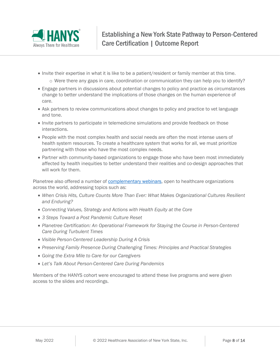

- Invite their expertise in what it is like to be a patient/resident or family member at this time.
	- $\circ$  Were there any gaps in care, coordination or communication they can help you to identify?
- Engage partners in discussions about potential changes to policy and practice as circumstances change to better understand the implications of those changes on the human experience of care.
- Ask partners to review communications about changes to policy and practice to vet language and tone.
- Invite partners to participate in telemedicine simulations and provide feedback on those interactions.
- People with the most complex health and social needs are often the most intense users of health system resources. To create a healthcare system that works for all, we must prioritize partnering with those who have the most complex needs.
- Partner with community-based organizations to engage those who have been most immediately affected by health inequities to better understand their realities and co-design approaches that will work for them.

Planetree also offered a number of **complementary webinars**, open to healthcare organizations across the world, addressing topics such as:

- *When Crisis Hits, Culture Counts More Than Ever: What Makes Organizational Cultures Resilient and Enduring?*
- *Connecting Values, Strategy and Actions with Health Equity at the Core*
- *3 Steps Toward a Post Pandemic Culture Reset*
- *Planetree Certification: An Operational Framework for Staying the Course in Person-Centered Care During Turbulent Times*
- *Visible Person-Centered Leadership During A Crisis*
- *Preserving Family Presence During Challenging Times: Principles and Practical Strategies*
- *Going the Extra Mile to Care for our Caregivers*
- *Let's Talk About Person-Centered Care During Pandemics*

Members of the HANYS cohort were encouraged to attend these live programs and were given access to the slides and recordings.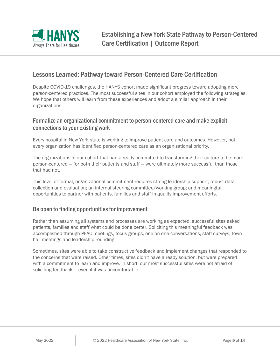

## Lessons Learned: Pathway toward Person-Centered Care Certification

Despite COVID-19 challenges, the HANYS cohort made significant progress toward adopting more person-centered practices. The most successful sites in our cohort employed the following strategies. We hope that others will learn from these experiences and adopt a similar approach in their organizations.

## Formalize an organizational commitment to person-centered care and make explicit connections to your existing work

Every hospital in New York state is working to improve patient care and outcomes. However, not every organization has identified person-centered care as an organizational priority.

The organizations in our cohort that had already committed to transforming their culture to be more person-centered — for both their patients and staff — were ultimately more successful than those that had not.

This level of formal, organizational commitment requires strong leadership support; robust data collection and evaluation; an internal steering committee/working group; and meaningful opportunities to partner with patients, families and staff in quality improvement efforts.

## Be open to finding opportunities for improvement

Rather than assuming all systems and processes are working as expected, successful sites asked patients, families and staff what could be done better. Soliciting this meaningful feedback was accomplished through PFAC meetings, focus groups, one-on-one conversations, staff surveys, town hall meetings and leadership rounding.

Sometimes, sites were able to take constructive feedback and implement changes that responded to the concerns that were raised. Other times, sites didn't have a ready solution, but were prepared with a commitment to learn and improve. In short, our most successful sites were not afraid of soliciting feedback — even if it was uncomfortable.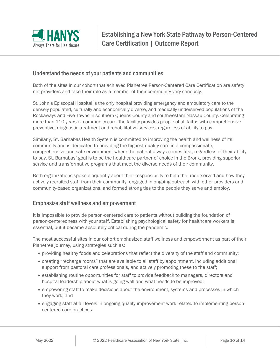

## Understand the needs of your patients and communities

Both of the sites in our cohort that achieved Planetree Person-Centered Care Certification are safety net providers and take their role as a member of their community very seriously.

St. John's Episcopal Hospital is the only hospital providing emergency and ambulatory care to the densely populated, culturally and economically diverse, and medically underserved populations of the Rockaways and Five Towns in southern Queens County and southwestern Nassau County. Celebrating more than 110 years of community care, the facility provides people of all faiths with comprehensive preventive, diagnostic treatment and rehabilitative services, regardless of ability to pay.

Similarly, St. Barnabas Health System is committed to improving the health and wellness of its community and is dedicated to providing the highest quality care in a compassionate, comprehensive and safe environment where the patient always comes first, regardless of their ability to pay. St. Barnabas' goal is to be the healthcare partner of choice in the Bronx, providing superior service and transformative programs that meet the diverse needs of their community.

Both organizations spoke eloquently about their responsibility to help the underserved and how they actively recruited staff from their community, engaged in ongoing outreach with other providers and community-based organizations, and formed strong ties to the people they serve and employ.

#### Emphasize staff wellness and empowerment

It is impossible to provide person-centered care to patients without building the foundation of person-centeredness with your staff. Establishing psychological safety for healthcare workers is essential, but it became absolutely critical during the pandemic.

The most successful sites in our cohort emphasized staff wellness and empowerment as part of their Planetree journey, using strategies such as:

- providing healthy foods and celebrations that reflect the diversity of the staff and community;
- creating "recharge rooms" that are available to all staff by appointment, including additional support from pastoral care professionals, and actively promoting these to the staff;
- establishing routine opportunities for staff to provide feedback to managers, directors and hospital leadership about what is going well and what needs to be improved;
- empowering staff to make decisions about the environment, systems and processes in which they work; and
- engaging staff at all levels in ongoing quality improvement work related to implementing personcentered care practices.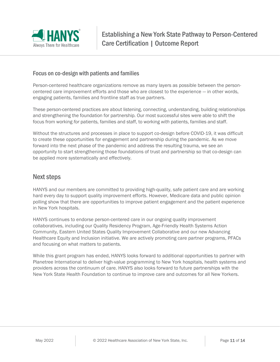

### Focus on co-design with patients and families

Person-centered healthcare organizations remove as many layers as possible between the personcentered care improvement efforts and those who are closest to the experience — in other words, engaging patients, families and frontline staff as true partners.

These person-centered practices are about listening, connecting, understanding, building relationships and strengthening the foundation for partnership. Our most successful sites were able to shift the focus from working *for* patients, families and staff, to working *with* patients, families and staff.

Without the structures and processes in place to support co-design before COVID-19, it was difficult to create these opportunities for engagement and partnership during the pandemic. As we move forward into the next phase of the pandemic and address the resulting trauma, we see an opportunity to start strengthening those foundations of trust and partnership so that co-design can be applied more systematically and effectively.

## Next steps

HANYS and our members are committed to providing high-quality, safe patient care and are working hard every day to support quality improvement efforts. However, Medicare data and public opinion polling show that there are opportunities to improve patient engagement and the patient experience in New York hospitals.

HANYS continues to endorse person-centered care in our ongoing quality improvement collaboratives, including our Quality Residency Program, Age-Friendly Health Systems Action Community, Eastern United States Quality Improvement Collaborative and our new Advancing Healthcare Equity and Inclusion initiative. We are actively promoting care partner programs, PFACs and focusing on what matters to patients.

While this grant program has ended, HANYS looks forward to additional opportunities to partner with Planetree International to deliver high-value programming to New York hospitals, health systems and providers across the continuum of care. HANYS also looks forward to future partnerships with the New York State Health Foundation to continue to improve care and outcomes for all New Yorkers.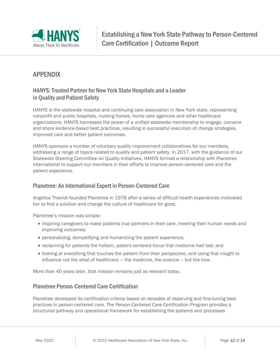

# APPENDIX

## HANYS: Trusted Partner for New York State Hospitals and a Leader in Quality and Patient Safety

HANYS is the statewide hospital and continuing care association in New York state, representing nonprofit and public hospitals, nursing homes, home care agencies and other healthcare organizations. HANYS harnesses the power of a unified statewide membership to engage, convene and share evidence-based best practices, resulting in successful execution of change strategies, improved care and better patient outcomes.

HANYS sponsors a number of voluntary quality improvement collaboratives for our members, addressing a range of topics related to quality and patient safety. In 2017, with the guidance of our Statewide Steering Committee on Quality Initiatives, HANYS formed a relationship with Planetree International to support our members in their efforts to improve person-centered care and the patient experience.

## Planetree: An International Expert in Person-Centered Care

Angelica Thieriot founded Planetree in 1978 after a series of difficult health experiences motivated her to find a solution and change the culture of healthcare for good.

Planetree's mission was simple:

- inspiring caregivers to make patients true partners in their care, meeting their human needs and improving outcomes;
- personalizing, demystifying and humanizing the patient experience;
- reclaiming for patients the holistic, patient-centered focus that medicine had lost; and
- looking at everything that touches the patient from their perspective, and using that insight to influence not the *what* of healthcare — the medicine, the science — but the *how*.

More than 40 years later, that mission remains just as relevant today.

## Planetree Person-Centered Care Certification

Planetree developed its certification criteria based on decades of observing and fine-tuning best practices in person-centered care. The Person-Centered Care Certification Program provides a structured pathway and operational framework for establishing the systems and processes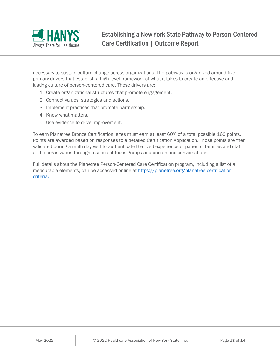

necessary to sustain culture change across organizations. The pathway is organized around five primary drivers that establish a high-level framework of what it takes to create an effective and lasting culture of person-centered care. These drivers are:

- 1. Create organizational structures that promote engagement.
- 2. Connect values, strategies and actions.
- 3. Implement practices that promote partnership.
- 4. Know what matters.
- 5. Use evidence to drive improvement.

To earn Planetree Bronze Certification, sites must earn at least 60% of a total possible 160 points. Points are awarded based on responses to a detailed Certification Application. Those points are then validated during a multi-day visit to authenticate the lived experience of patients, families and staff at the organization through a series of focus groups and one-on-one conversations.

Full details about the Planetree Person-Centered Care Certification program, including a list of all measurable elements, can be accessed online at [https://planetree.org/planetree-certification](https://planetree.org/planetree-certification-criteria/)[criteria/](https://planetree.org/planetree-certification-criteria/)